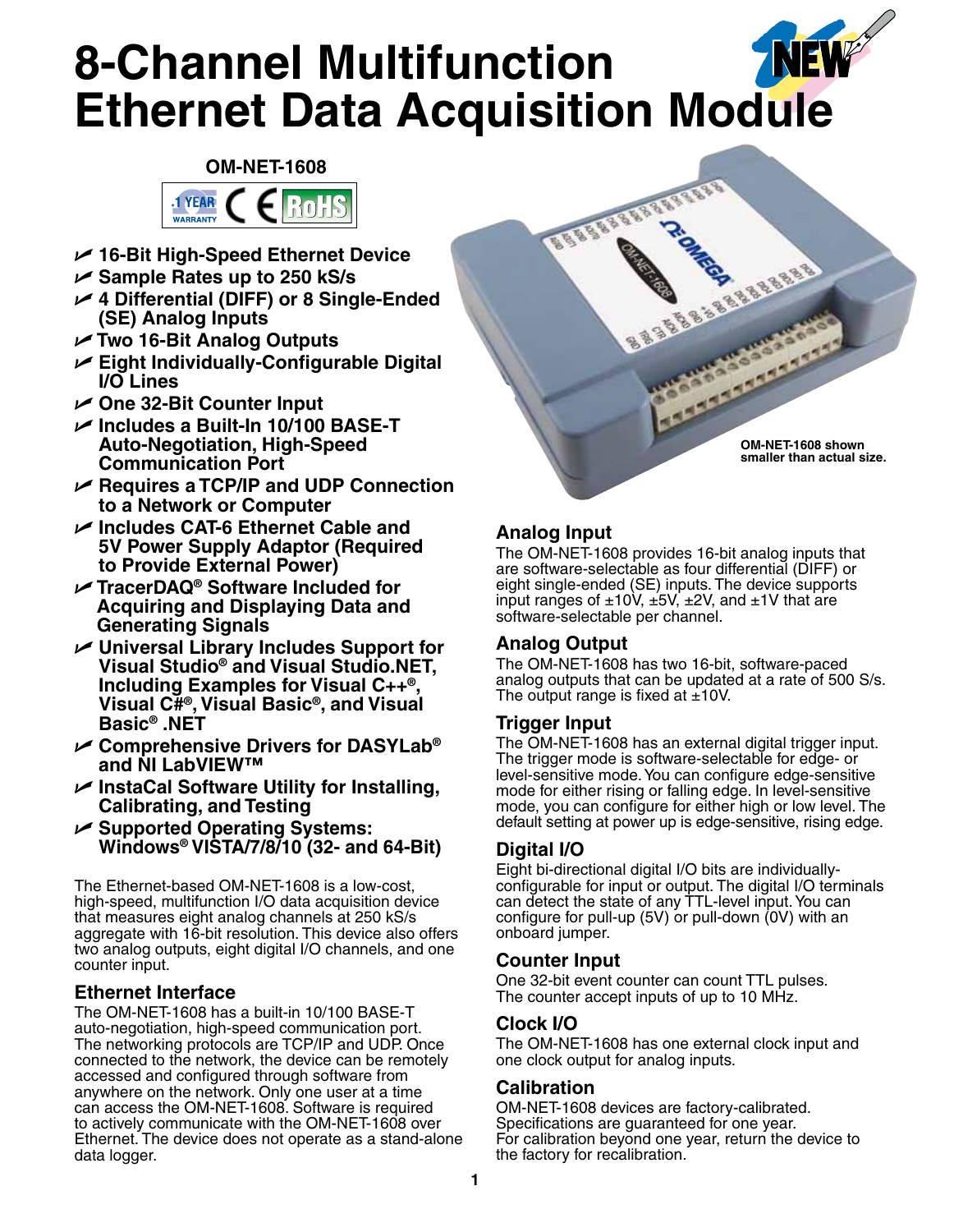# NEW **8-Channel Multifunction Ethernet Data Acquisition Module**

# **OM-NET-1608 1 YEAR** Rol

- U **16-Bit High-Speed Ethernet Device**
- U **Sample Rates up to 250 kS/s**

WARRANTY

- U **4 Differential (DIFF) or 8 Single-Ended (SE) Analog Inputs**
- U **Two 16-Bit Analog Outputs**
- U **Eight Individually-Configurable Digital I/O Lines**
- U **One 32-Bit Counter Input**
- U **Includes a Built-In 10/100 BASE-T Auto-Negotiation, High-Speed Communication Port**
- U **Requires a TCP/IP and UDP Connection to a Network or Computer**
- U **Includes CAT-6 Ethernet Cable and 5V Power Supply Adaptor (Required to Provide External Power)**
- U **TracerDAQ® Software Included for Acquiring and Displaying Data and Generating Signals**
- U **Universal Library Includes Support for Visual Studio® and Visual Studio.NET, Including Examples for Visual C++®, Visual C#®, Visual Basic®, and Visual Basic® .NET**
- U **Comprehensive Drivers for DASYLab® and NI LabVIEW™**
- U **InstaCal Software Utility for Installing, Calibrating, and Testing**
- U **Supported Operating Systems: Windows® VISTA/7/8/10 (32- and 64-Bit)**

The Ethernet-based OM-NET-1608 is a low-cost, high-speed, multifunction I/O data acquisition device that measures eight analog channels at 250 kS/s aggregate with 16-bit resolution. This device also offers two analog outputs, eight digital I/O channels, and one counter input.

# **Ethernet Interface**

The OM-NET-1608 has a built-in 10/100 BASE-T auto-negotiation, high-speed communication port. The networking protocols are TCP/IP and UDP. Once connected to the network, the device can be remotely accessed and configured through software from anywhere on the network. Only one user at a time can access the OM-NET-1608. Software is required to actively communicate with the OM-NET-1608 over Ethernet. The device does not operate as a stand-alone data logger.



# **Analog Input**

The OM-NET-1608 provides 16-bit analog inputs that are software-selectable as four differential (DIFF) or eight single-ended (SE) inputs. The device supports input ranges of  $\pm 10V$ ,  $\pm 5V$ ,  $\pm 2V$ , and  $\pm 1V$  that are software-selectable per channel.

# **Analog Output**

The OM-NET-1608 has two 16-bit, software-paced analog outputs that can be updated at a rate of 500 S/s. The output range is fixed at  $\pm 10$ V.

# **Trigger Input**

The OM-NET-1608 has an external digital trigger input. The trigger mode is software-selectable for edge- or level-sensitive mode. You can configure edge-sensitive mode for either rising or falling edge. In level-sensitive mode, you can configure for either high or low level. The default setting at power up is edge-sensitive, rising edge.

# **Digital I/O**

Eight bi-directional digital I/O bits are individuallyconfigurable for input or output. The digital I/O terminals can detect the state of any TTL-level input. You can configure for pull-up (5V) or pull-down (0V) with an onboard jumper.

# **Counter Input**

One 32-bit event counter can count TTL pulses. The counter accept inputs of up to 10 MHz.

# **Clock I/O**

The OM-NET-1608 has one external clock input and one clock output for analog inputs.

# **Calibration**

OM-NET-1608 devices are factory-calibrated. Specifications are guaranteed for one year. For calibration beyond one year, return the device to the factory for recalibration.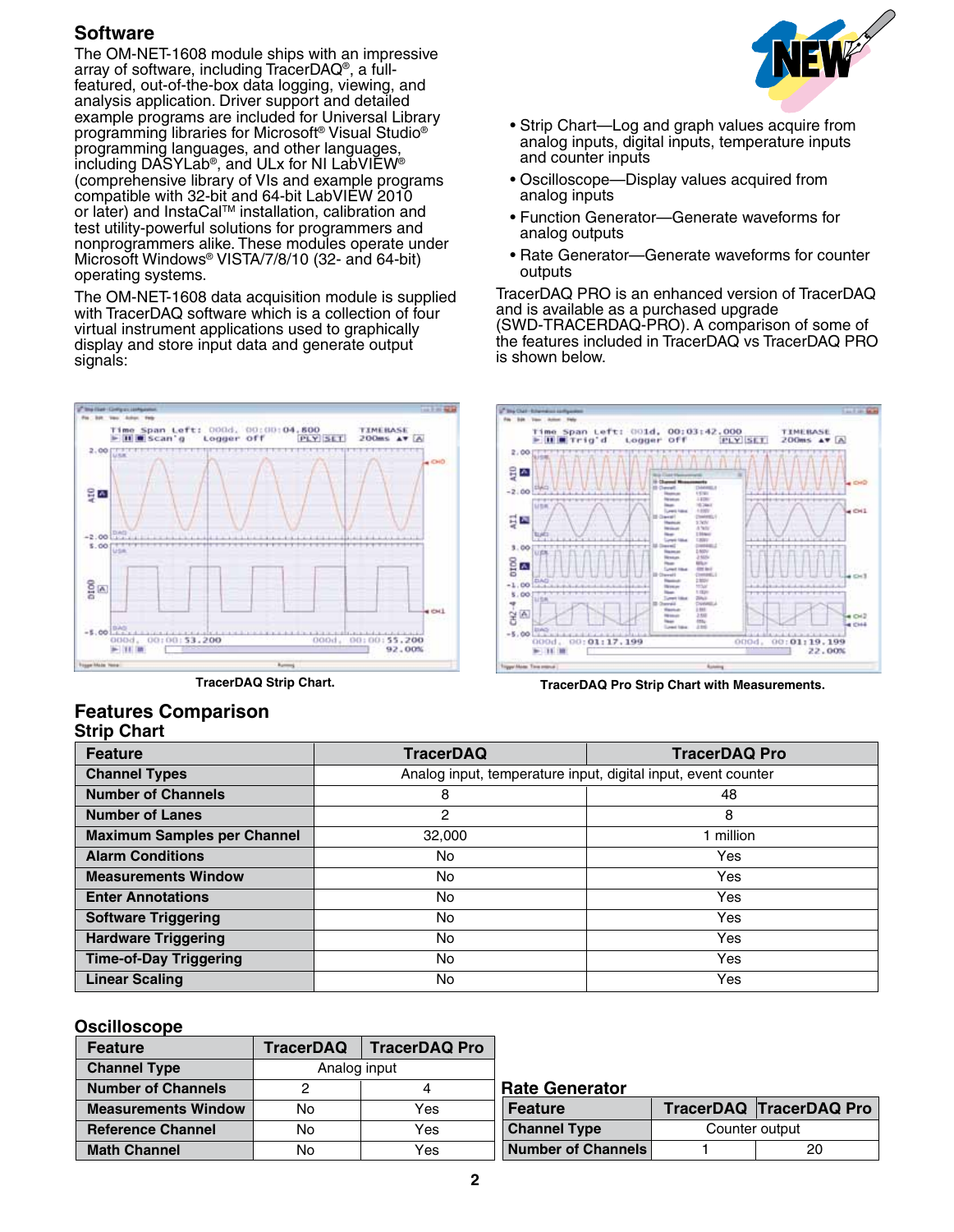# **Software**

The OM-NET-1608 module ships with an impressive array of software, including TracerDAQ®, a fullfeatured, out-of-the-box data logging, viewing, and analysis application. Driver support and detailed example programs are included for Universal Library programming libraries for Microsoft® Visual Studio® programming languages, and other languages, including DASYLab®, and ULx for NI LabVIEW® (comprehensive library of VIs and example programs compatible with 32-bit and 64-bit LabVIEW 2010 or later) and InstaCal™ installation, calibration and test utility-powerful solutions for programmers and nonprogrammers alike. These modules operate under Microsoft Windows® VISTA/7/8/10 (32- and 64-bit) operating systems.

The OM-NET-1608 data acquisition module is supplied with TracerDAQ software which is a collection of four virtual instrument applications used to graphically display and store input data and generate output signals:



# EW

- Strip Chart—Log and graph values acquire from analog inputs, digital inputs, temperature inputs and counter inputs
- Oscilloscope—Display values acquired from analog inputs
- Function Generator—Generate waveforms for analog outputs
- Rate Generator—Generate waveforms for counter outputs

TracerDAQ PRO is an enhanced version of TracerDAQ and is available as a purchased upgrade (SWD-TRACERDAQ-PRO). A comparison of some of the features included in TracerDAQ vs TracerDAQ PRO is shown below.



**TracerDAQ Strip Chart. TracerDAQ Pro Strip Chart with Measurements.**

#### **Strip Chart Features Comparison**

| <b>Feature</b>                     | <b>TracerDAQ</b>                                              | <b>TracerDAQ Pro</b> |  |
|------------------------------------|---------------------------------------------------------------|----------------------|--|
| <b>Channel Types</b>               | Analog input, temperature input, digital input, event counter |                      |  |
| <b>Number of Channels</b>          | 8<br>48                                                       |                      |  |
| <b>Number of Lanes</b>             | 2                                                             | 8                    |  |
| <b>Maximum Samples per Channel</b> | 32,000                                                        | 1 million            |  |
| <b>Alarm Conditions</b>            | No                                                            | Yes                  |  |
| <b>Measurements Window</b>         | No.                                                           | Yes                  |  |
| <b>Enter Annotations</b>           | <b>No</b>                                                     | Yes                  |  |
| <b>Software Triggering</b>         | <b>No</b>                                                     | Yes                  |  |
| <b>Hardware Triggering</b>         | <b>No</b>                                                     | Yes                  |  |
| <b>Time-of-Day Triggering</b>      | <b>No</b>                                                     | Yes                  |  |
| <b>Linear Scaling</b>              | <b>No</b>                                                     | Yes                  |  |

#### **Oscilloscope**

| <b>Feature</b>             | <b>TracerDAQ</b> | <b>TracerDAQ Pro</b> |
|----------------------------|------------------|----------------------|
| <b>Channel Type</b>        | Analog input     |                      |
| <b>Number of Channels</b>  |                  |                      |
| <b>Measurements Window</b> | No               | Yes                  |
| <b>Reference Channel</b>   | Yes<br>N٥        |                      |
| <b>Math Channel</b>        | N٥               | Yes                  |

| <b>Rate Generator</b>     |                |                                |  |
|---------------------------|----------------|--------------------------------|--|
| <b>Feature</b>            |                | <b>TracerDAQ TracerDAQ Pro</b> |  |
| <b>Channel Type</b>       | Counter output |                                |  |
| <b>Number of Channels</b> |                | 20                             |  |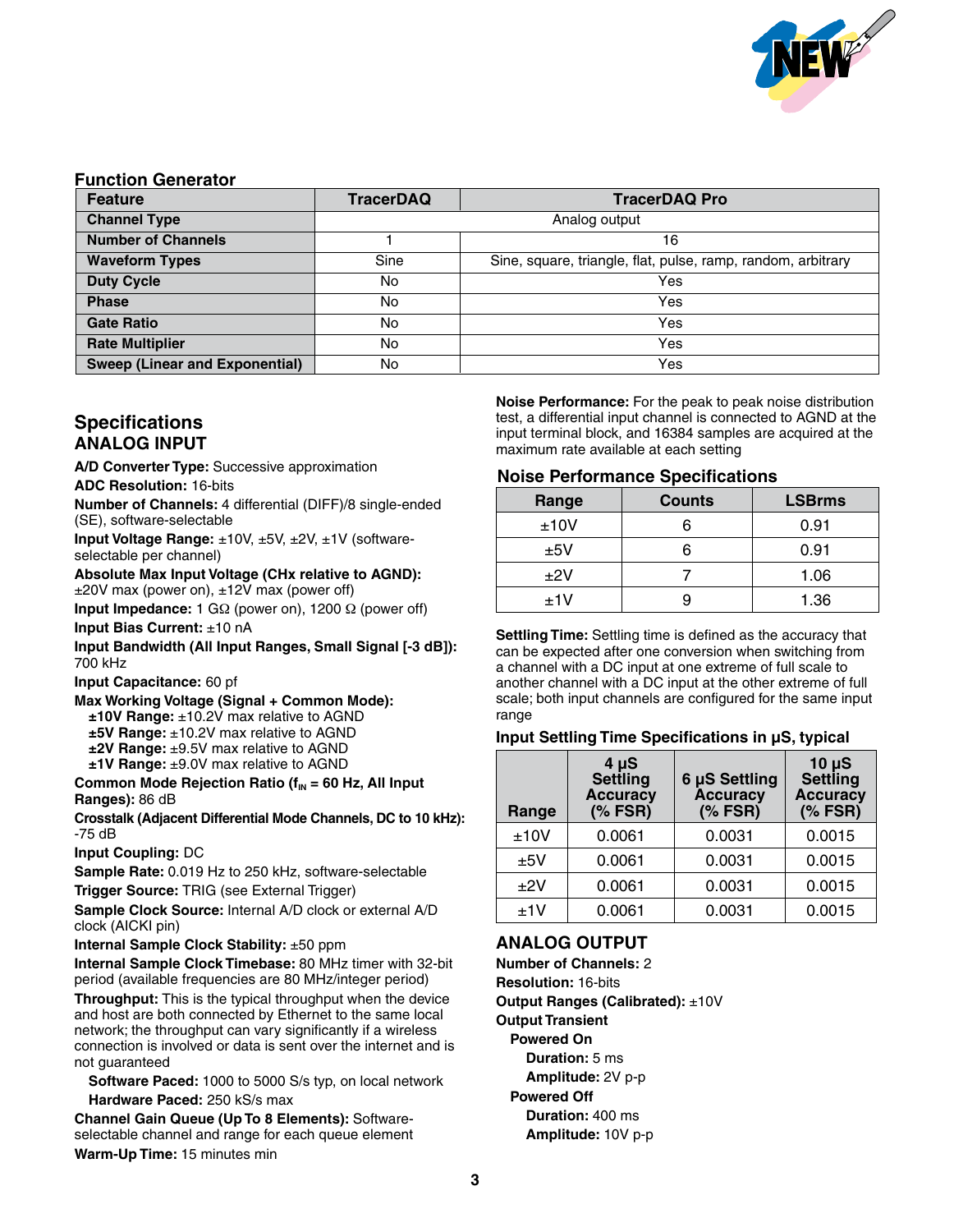

#### **Function Generator**

| <b>Feature</b>                        | <b>TracerDAQ</b> | <b>TracerDAQ Pro</b>                                         |  |  |
|---------------------------------------|------------------|--------------------------------------------------------------|--|--|
| <b>Channel Type</b>                   | Analog output    |                                                              |  |  |
| <b>Number of Channels</b>             | 16               |                                                              |  |  |
| <b>Waveform Types</b>                 | Sine             | Sine, square, triangle, flat, pulse, ramp, random, arbitrary |  |  |
| <b>Duty Cycle</b>                     | No               | Yes                                                          |  |  |
| <b>Phase</b>                          | No               | Yes                                                          |  |  |
| <b>Gate Ratio</b>                     | No               | Yes                                                          |  |  |
| <b>Rate Multiplier</b>                | No               | Yes                                                          |  |  |
| <b>Sweep (Linear and Exponential)</b> | No               | Yes                                                          |  |  |

# **Specifications Analog Input**

**A/D Converter Type:** Successive approximation **ADC Resolution:** 16-bits

**Number of Channels:** 4 differential (DIFF)/8 single-ended (SE), software-selectable

**Input Voltage Range:** ±10V, ±5V, ±2V, ±1V (softwareselectable per channel)

**Absolute Max Input Voltage (CHx relative to AGND):** ±20V max (power on), ±12V max (power off)

**Input Impedance:** 1 GΩ (power on), 1200 Ω (power off)

**Input Bias Current:** ±10 nA

**Input Bandwidth (All Input Ranges, Small Signal [-3 dB]):** 700 kHz

**Input Capacitance:** 60 pf

**Max Working Voltage (Signal + Common Mode): ±10V Range:** ±10.2V max relative to AGND **±5V Range:** ±10.2V max relative to AGND **±2V Range:** ±9.5V max relative to AGND **±1V Range:** ±9.0V max relative to AGND

**Common Mode Rejection Ratio (f<sub>IN</sub> = 60 Hz, All Input Ranges):** 86 dB

**Crosstalk (Adjacent Differential Mode Channels, DC to 10 kHz):** -75 dB

**Input Coupling:** DC

**Sample Rate:** 0.019 Hz to 250 kHz, software-selectable

**Trigger Source:** TRIG (see External Trigger)

**Sample Clock Source:** Internal A/D clock or external A/D clock (AICKI pin)

**Internal Sample Clock Stability:** ±50 ppm

**Internal Sample Clock Timebase:** 80 MHz timer with 32-bit period (available frequencies are 80 MHz/integer period)

**Throughput:** This is the typical throughput when the device and host are both connected by Ethernet to the same local network; the throughput can vary significantly if a wireless connection is involved or data is sent over the internet and is not guaranteed

**Software Paced:** 1000 to 5000 S/s typ, on local network **Hardware Paced:** 250 kS/s max

**Channel Gain Queue (Up To 8 Elements):** Softwareselectable channel and range for each queue element **Warm-Up Time:** 15 minutes min

**Noise Performance:** For the peak to peak noise distribution test, a differential input channel is connected to AGND at the input terminal block, and 16384 samples are acquired at the maximum rate available at each setting

#### **Noise Performance Specifications**

| Range | <b>Counts</b> | <b>LSBrms</b> |
|-------|---------------|---------------|
| ±10V  |               | 0.91          |
| ±5V   |               | 0.91          |
| ±2V   |               | 1.06          |
| ±1V   |               | 1.36          |

**Settling Time:** Settling time is defined as the accuracy that can be expected after one conversion when switching from a channel with a DC input at one extreme of full scale to another channel with a DC input at the other extreme of full scale; both input channels are configured for the same input range

#### **Input Settling Time Specifications in µS, typical**

| Range | $4 \mu S$<br><b>Settling</b><br><b>Accuracy</b><br>$(% )^{\circ}$ FSR) | 6 µS Settling<br><b>Accuracy</b><br>$(*$ FSR) | $10 \mu S$<br><b>Settling</b><br><b>Accuracy</b><br>$(*$ FSR) |
|-------|------------------------------------------------------------------------|-----------------------------------------------|---------------------------------------------------------------|
| ±10V  | 0.0061                                                                 | 0.0031                                        | 0.0015                                                        |
| ±5V   | 0.0061                                                                 | 0.0031                                        | 0.0015                                                        |
| $+2V$ | 0.0061                                                                 | 0.0031                                        | 0.0015                                                        |
| ±1V   | 0.0061                                                                 | 0.0031                                        | 0.0015                                                        |

# **Analog Output**

**Number of Channels:** 2 **Resolution:** 16-bits **Output Ranges (Calibrated):** ±10V **Output Transient Powered On Duration:** 5 ms  **Amplitude:** 2V p-p **Powered Off Duration:** 400 ms  **Amplitude:** 10V p-p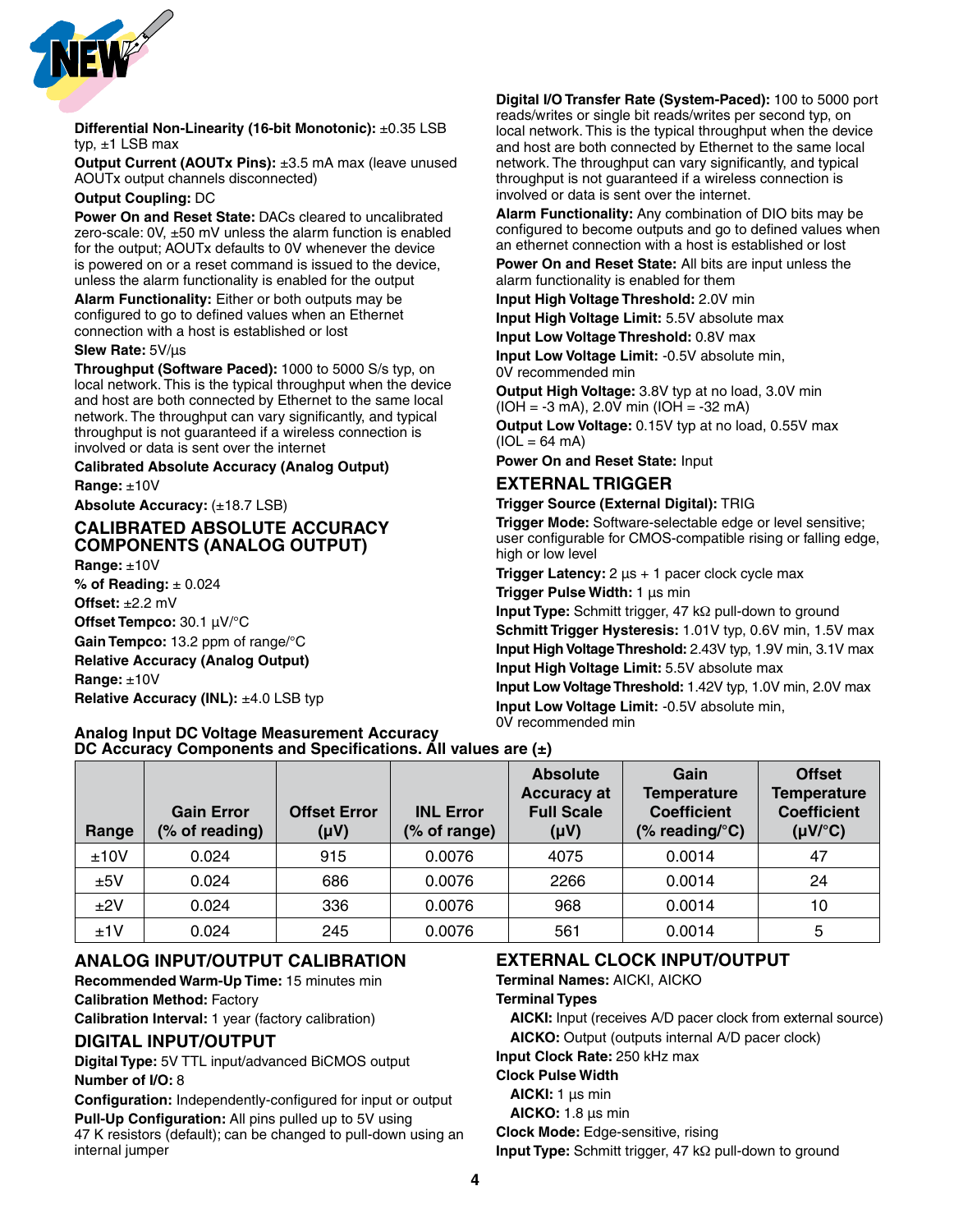

#### **Differential Non-Linearity (16-bit Monotonic):** ±0.35 LSB typ,  $\pm$ 1 LSB max

**Output Current (AOUTx Pins):** ±3.5 mA max (leave unused AOUTx output channels disconnected)

#### **Output Coupling:** DC

**Power On and Reset State:** DACs cleared to uncalibrated zero-scale: 0V, ±50 mV unless the alarm function is enabled for the output; AOUTx defaults to 0V whenever the device is powered on or a reset command is issued to the device, unless the alarm functionality is enabled for the output

**Alarm Functionality:** Either or both outputs may be configured to go to defined values when an Ethernet connection with a host is established or lost

#### **Slew Rate:** 5V/μs

**Throughput (Software Paced):** 1000 to 5000 S/s typ, on local network. This is the typical throughput when the device and host are both connected by Ethernet to the same local network. The throughput can vary significantly, and typical throughput is not guaranteed if a wireless connection is involved or data is sent over the internet

#### **Calibrated Absolute Accuracy (Analog Output)**

**Range:** ±10V

**Absolute Accuracy: (±18.7 LSB)** 

#### **Calibrated Absolute Accuracy Components (Analog Output) Range:** ±10V

**% of Reading:** ± 0.024 **Offset:** ±2.2 mV **Offset Tempco:** 30.1 μV/°C **Gain Tempco:** 13.2 ppm of range/°C **Relative Accuracy (Analog Output) Range:** ±10V **Relative Accuracy (INL): ±4.0 LSB typ** 

**Digital I/O Transfer Rate (System-Paced):** 100 to 5000 port reads/writes or single bit reads/writes per second typ, on local network. This is the typical throughput when the device and host are both connected by Ethernet to the same local network. The throughput can vary significantly, and typical throughput is not guaranteed if a wireless connection is involved or data is sent over the internet.

**Alarm Functionality:** Any combination of DIO bits may be configured to become outputs and go to defined values when an ethernet connection with a host is established or lost

**Power On and Reset State:** All bits are input unless the alarm functionality is enabled for them

**Input High Voltage Threshold:** 2.0V min

**Input High Voltage Limit:** 5.5V absolute max

**Input Low Voltage Threshold:** 0.8V max

**Input Low Voltage Limit:** -0.5V absolute min, 0V recommended min

**Output High Voltage:** 3.8V typ at no load, 3.0V min  $(IOH = -3 mA)$ , 2.0V min  $IOH = -32 mA$ 

**Output Low Voltage:** 0.15V typ at no load, 0.55V max  $(IOL = 64 mA)$ 

**Power On and Reset State:** Input

#### **External Trigger**

**Trigger Source (External Digital):** TRIG

**Trigger Mode:** Software-selectable edge or level sensitive; user configurable for CMOS-compatible rising or falling edge, high or low level

**Trigger Latency:** 2 μs + 1 pacer clock cycle max **Trigger Pulse Width:** 1 μs min

**Input Type:** Schmitt trigger, 47 kΩ pull-down to ground **Schmitt Trigger Hysteresis:** 1.01V typ, 0.6V min, 1.5V max **Input High Voltage Threshold:** 2.43V typ, 1.9V min, 3.1V max **Input High Voltage Limit:** 5.5V absolute max

**Input Low Voltage Threshold:** 1.42V typ, 1.0V min, 2.0V max **Input Low Voltage Limit:** -0.5V absolute min, 0V recommended min

| Range | <b>Gain Error</b><br>(% of reading) | <b>Offset Error</b><br>$(\mu V)$ | <b>INL Error</b><br>(% of range) | <b>Absolute</b><br><b>Accuracy at</b><br><b>Full Scale</b><br>$(\mu V)$ | Gain<br><b>Temperature</b><br><b>Coefficient</b><br>(% reading/ ${}^{\circ}$ C) | <b>Offset</b><br><b>Temperature</b><br><b>Coefficient</b><br>$(\mu V)^{\circ}C$ |
|-------|-------------------------------------|----------------------------------|----------------------------------|-------------------------------------------------------------------------|---------------------------------------------------------------------------------|---------------------------------------------------------------------------------|
| ±10V  | 0.024                               | 915                              | 0.0076                           | 4075                                                                    | 0.0014                                                                          | 47                                                                              |
| ±5V   | 0.024                               | 686                              | 0.0076                           | 2266                                                                    | 0.0014                                                                          | 24                                                                              |
| ±2V   | 0.024                               | 336                              | 0.0076                           | 968                                                                     | 0.0014                                                                          | 10                                                                              |
| ±1V   | 0.024                               | 245                              | 0.0076                           | 561                                                                     | 0.0014                                                                          | 5                                                                               |

# **Analog Input/Output Calibration**

**Analog Input DC Voltage Measurement Accuracy**

**DC Accuracy Components and Specifications. All values are (±)**

**Recommended Warm-Up Time:** 15 minutes min **Calibration Method:** Factory

**Calibration Interval:** 1 year (factory calibration)

#### **Digital Input/Output**

**Digital Type:** 5V TTL input/advanced BiCMOS output **Number of I/O:** 8

**Configuration:** Independently-configured for input or output **Pull-Up Configuration:** All pins pulled up to 5V using 47 K resistors (default); can be changed to pull-down using an internal jumper

# **External Clock Input/Output**

**Terminal Names:** AICKI, AICKO

**Terminal Types** 

 **AICKI:** Input (receives A/D pacer clock from external source) **AICKO:** Output (outputs internal A/D pacer clock)

**Input Clock Rate:** 250 kHz max

**Clock Pulse Width** 

**AICKI:** 1 μs min

**AICKO:** 1.8 μs min

**Clock Mode:** Edge-sensitive, rising

**Input Type:** Schmitt trigger, 47 kΩ pull-down to ground